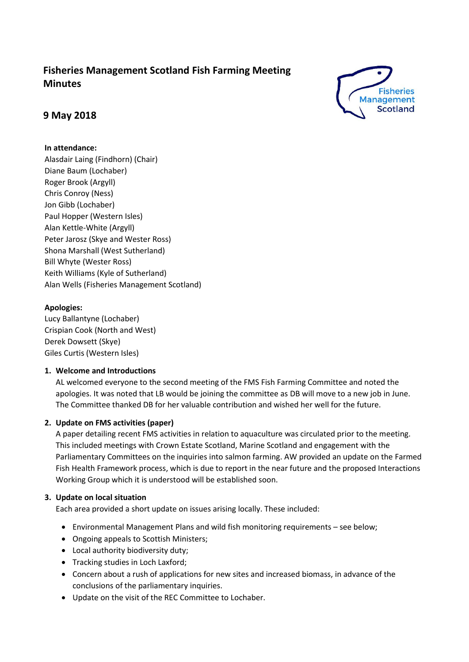# **Fisheries Management Scotland Fish Farming Meeting Minutes**



## **9 May 2018**

## **In attendance:**

Alasdair Laing (Findhorn) (Chair) Diane Baum (Lochaber) Roger Brook (Argyll) Chris Conroy (Ness) Jon Gibb (Lochaber) Paul Hopper (Western Isles) Alan Kettle-White (Argyll) Peter Jarosz (Skye and Wester Ross) Shona Marshall (West Sutherland) Bill Whyte (Wester Ross) Keith Williams (Kyle of Sutherland) Alan Wells (Fisheries Management Scotland)

## **Apologies:**

Lucy Ballantyne (Lochaber) Crispian Cook (North and West) Derek Dowsett (Skye) Giles Curtis (Western Isles)

#### **1. Welcome and Introductions**

AL welcomed everyone to the second meeting of the FMS Fish Farming Committee and noted the apologies. It was noted that LB would be joining the committee as DB will move to a new job in June. The Committee thanked DB for her valuable contribution and wished her well for the future.

## **2. Update on FMS activities (paper)**

A paper detailing recent FMS activities in relation to aquaculture was circulated prior to the meeting. This included meetings with Crown Estate Scotland, Marine Scotland and engagement with the Parliamentary Committees on the inquiries into salmon farming. AW provided an update on the Farmed Fish Health Framework process, which is due to report in the near future and the proposed Interactions Working Group which it is understood will be established soon.

## **3. Update on local situation**

Each area provided a short update on issues arising locally. These included:

- Environmental Management Plans and wild fish monitoring requirements see below;
- Ongoing appeals to Scottish Ministers;
- Local authority biodiversity duty;
- Tracking studies in Loch Laxford;
- Concern about a rush of applications for new sites and increased biomass, in advance of the conclusions of the parliamentary inquiries.
- Update on the visit of the REC Committee to Lochaber.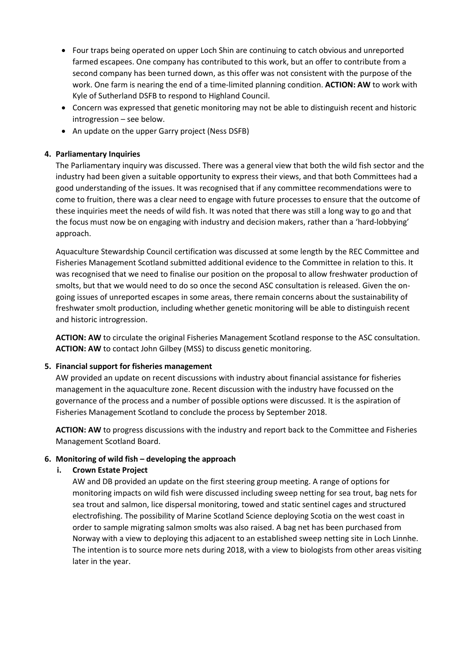- Four traps being operated on upper Loch Shin are continuing to catch obvious and unreported farmed escapees. One company has contributed to this work, but an offer to contribute from a second company has been turned down, as this offer was not consistent with the purpose of the work. One farm is nearing the end of a time-limited planning condition. **ACTION: AW** to work with Kyle of Sutherland DSFB to respond to Highland Council.
- Concern was expressed that genetic monitoring may not be able to distinguish recent and historic introgression – see below.
- An update on the upper Garry project (Ness DSFB)

### **4. Parliamentary Inquiries**

The Parliamentary inquiry was discussed. There was a general view that both the wild fish sector and the industry had been given a suitable opportunity to express their views, and that both Committees had a good understanding of the issues. It was recognised that if any committee recommendations were to come to fruition, there was a clear need to engage with future processes to ensure that the outcome of these inquiries meet the needs of wild fish. It was noted that there was still a long way to go and that the focus must now be on engaging with industry and decision makers, rather than a 'hard-lobbying' approach.

Aquaculture Stewardship Council certification was discussed at some length by the REC Committee and Fisheries Management Scotland submitted additional evidence to the Committee in relation to this. It was recognised that we need to finalise our position on the proposal to allow freshwater production of smolts, but that we would need to do so once the second ASC consultation is released. Given the ongoing issues of unreported escapes in some areas, there remain concerns about the sustainability of freshwater smolt production, including whether genetic monitoring will be able to distinguish recent and historic introgression.

**ACTION: AW** to circulate the original Fisheries Management Scotland response to the ASC consultation. **ACTION: AW** to contact John Gilbey (MSS) to discuss genetic monitoring.

#### **5. Financial support for fisheries management**

AW provided an update on recent discussions with industry about financial assistance for fisheries management in the aquaculture zone. Recent discussion with the industry have focussed on the governance of the process and a number of possible options were discussed. It is the aspiration of Fisheries Management Scotland to conclude the process by September 2018.

**ACTION: AW** to progress discussions with the industry and report back to the Committee and Fisheries Management Scotland Board.

#### **6. Monitoring of wild fish – developing the approach**

## **i. Crown Estate Project**

AW and DB provided an update on the first steering group meeting. A range of options for monitoring impacts on wild fish were discussed including sweep netting for sea trout, bag nets for sea trout and salmon, lice dispersal monitoring, towed and static sentinel cages and structured electrofishing. The possibility of Marine Scotland Science deploying Scotia on the west coast in order to sample migrating salmon smolts was also raised. A bag net has been purchased from Norway with a view to deploying this adjacent to an established sweep netting site in Loch Linnhe. The intention is to source more nets during 2018, with a view to biologists from other areas visiting later in the year.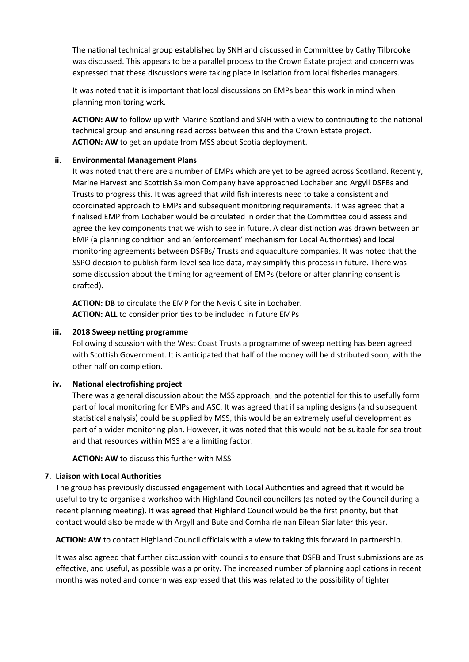The national technical group established by SNH and discussed in Committee by Cathy Tilbrooke was discussed. This appears to be a parallel process to the Crown Estate project and concern was expressed that these discussions were taking place in isolation from local fisheries managers.

It was noted that it is important that local discussions on EMPs bear this work in mind when planning monitoring work.

**ACTION: AW** to follow up with Marine Scotland and SNH with a view to contributing to the national technical group and ensuring read across between this and the Crown Estate project. **ACTION: AW** to get an update from MSS about Scotia deployment.

#### **ii. Environmental Management Plans**

It was noted that there are a number of EMPs which are yet to be agreed across Scotland. Recently, Marine Harvest and Scottish Salmon Company have approached Lochaber and Argyll DSFBs and Trusts to progress this. It was agreed that wild fish interests need to take a consistent and coordinated approach to EMPs and subsequent monitoring requirements. It was agreed that a finalised EMP from Lochaber would be circulated in order that the Committee could assess and agree the key components that we wish to see in future. A clear distinction was drawn between an EMP (a planning condition and an 'enforcement' mechanism for Local Authorities) and local monitoring agreements between DSFBs/ Trusts and aquaculture companies. It was noted that the SSPO decision to publish farm-level sea lice data, may simplify this process in future. There was some discussion about the timing for agreement of EMPs (before or after planning consent is drafted).

**ACTION: DB** to circulate the EMP for the Nevis C site in Lochaber. **ACTION: ALL** to consider priorities to be included in future EMPs

#### **iii. 2018 Sweep netting programme**

Following discussion with the West Coast Trusts a programme of sweep netting has been agreed with Scottish Government. It is anticipated that half of the money will be distributed soon, with the other half on completion.

#### **iv. National electrofishing project**

There was a general discussion about the MSS approach, and the potential for this to usefully form part of local monitoring for EMPs and ASC. It was agreed that if sampling designs (and subsequent statistical analysis) could be supplied by MSS, this would be an extremely useful development as part of a wider monitoring plan. However, it was noted that this would not be suitable for sea trout and that resources within MSS are a limiting factor.

**ACTION: AW** to discuss this further with MSS

## **7. Liaison with Local Authorities**

The group has previously discussed engagement with Local Authorities and agreed that it would be useful to try to organise a workshop with Highland Council councillors (as noted by the Council during a recent planning meeting). It was agreed that Highland Council would be the first priority, but that contact would also be made with Argyll and Bute and Comhairle nan Eilean Siar later this year.

**ACTION: AW** to contact Highland Council officials with a view to taking this forward in partnership.

It was also agreed that further discussion with councils to ensure that DSFB and Trust submissions are as effective, and useful, as possible was a priority. The increased number of planning applications in recent months was noted and concern was expressed that this was related to the possibility of tighter